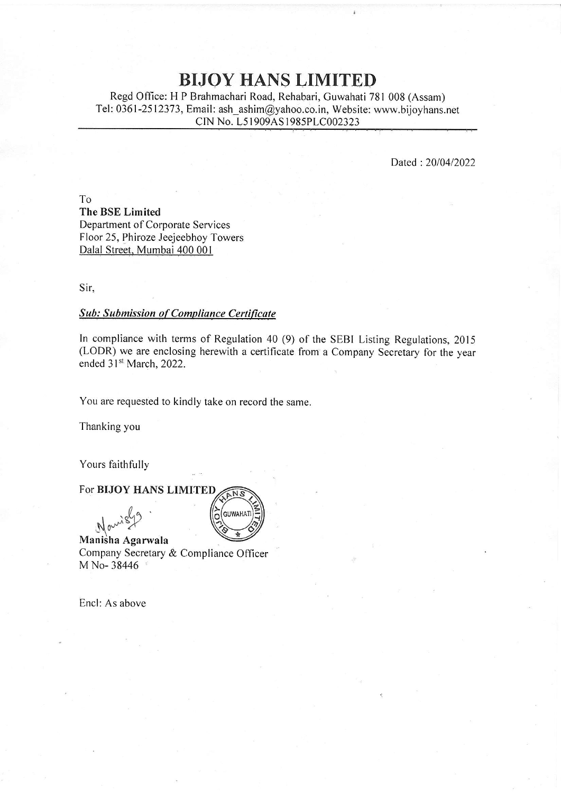# **BIJOY HANS LIMITED**

Regd Qffice: H P Brahmachari Road, Rehabari, Guwahati 781 008 (Assam) Tel: 0361-2512373, Email: ash\_ashim@yahoo.co. in, Website: www.bijoyhans.net CIN No. L5 I 909AS 1985PLC002323

Dated :2Q10412022

To The BSE Limited Department of Corporate Services Floor 25, Phiroze Jeejeebhoy Towers Dalal Street, Mumbai 400 001

Sir,

### **Sub: Submission of Compliance Certificate**

In compliance with terms of Regulation 40 (9) of the SEBI Listing Regulations, 2015 (LODR) we are enclosing herewith a certificate from a Company Secretary for the year ended 31<sup>st</sup> March, 2022.

You are requested to kindly take on record the same.

GUWAHATI

 $\overline{O}$ 

Thanking you

Yours faithfully

#### For BIJOY HANS LIMITED ANS



Manisha Agarwala Company Secretary & Compliance Officer M No- 38446

Encl: As above